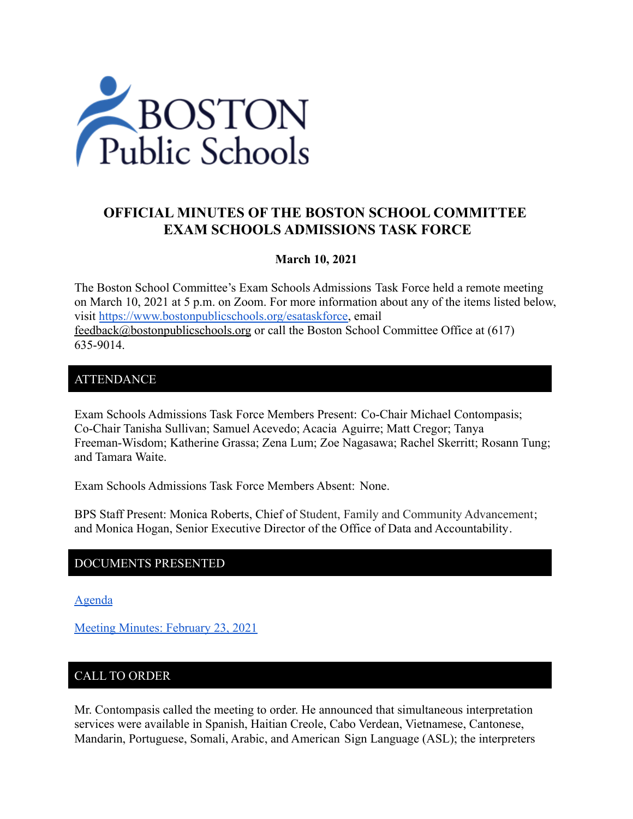

# **OFFICIAL MINUTES OF THE BOSTON SCHOOL COMMITTEE EXAM SCHOOLS ADMISSIONS TASK FORCE**

#### **March 10, 2021**

The Boston School Committee's Exam Schools Admissions Task Force held a remote meeting on March 10, 2021 at 5 p.m. on Zoom. For more information about any of the items listed below, visit [https://www.bostonpublicschools.org/esataskforce,](https://www.bostonpublicschools.org/esataskforce) email [feedback@bostonpublicschools.org](mailto:feedback@bostonpublicschools.org) or call the Boston School Committee Office at (617) 635-9014.

#### **ATTENDANCE**

Exam Schools Admissions Task Force Members Present: Co-Chair Michael Contompasis; Co-Chair Tanisha Sullivan; Samuel Acevedo; Acacia Aguirre; Matt Cregor; Tanya Freeman-Wisdom; Katherine Grassa; Zena Lum; Zoe Nagasawa; Rachel Skerritt; Rosann Tung; and Tamara Waite.

Exam Schools Admissions Task Force Members Absent: None.

BPS Staff Present: Monica Roberts, Chief of Student, Family and Community Advancement; and Monica Hogan, Senior Executive Director of the Office of Data and Accountability.

## DOCUMENTS PRESENTED

[Agenda](https://www.boston.gov/public-notices/14768876)

[Meeting Minutes: February 23, 2021](https://www.bostonpublicschools.org/cms/lib/MA01906464/Centricity/Domain/2931/Minutes%202%2023%2021%20Exam%20School%20Admission%20TF%20Meeting.pdf)

## CALL TO ORDER

Mr. Contompasis called the meeting to order. He announced that simultaneous interpretation services were available in Spanish, Haitian Creole, Cabo Verdean, Vietnamese, Cantonese, Mandarin, Portuguese, Somali, Arabic, and American Sign Language (ASL); the interpreters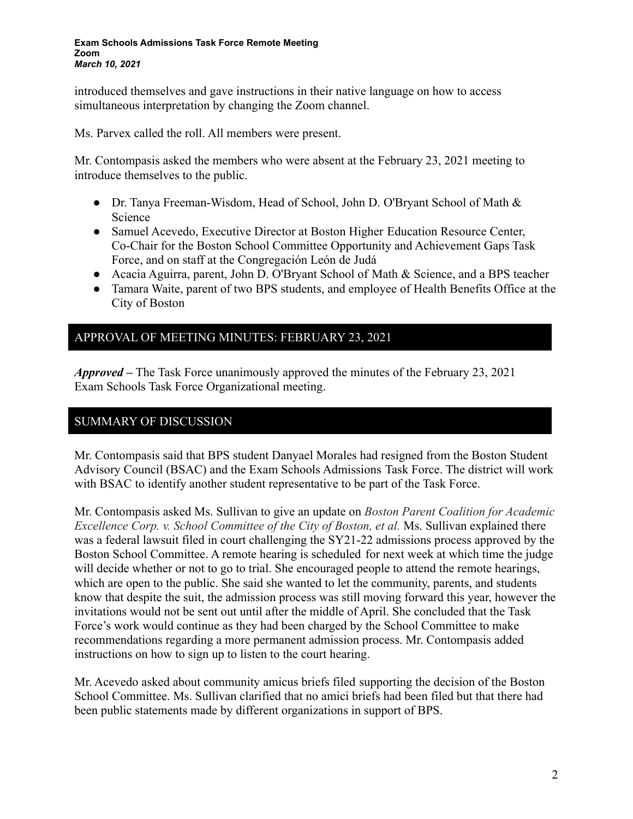introduced themselves and gave instructions in their native language on how to access simultaneous interpretation by changing the Zoom channel.

Ms. Parvex called the roll. All members were present.

Mr. Contompasis asked the members who were absent at the February 23, 2021 meeting to introduce themselves to the public.

- Dr. Tanya Freeman-Wisdom, Head of School, John D. O'Bryant School of Math & Science
- Samuel Acevedo, Executive Director at Boston Higher Education Resource Center, Co-Chair for the Boston School Committee Opportunity and Achievement Gaps Task Force, and on staff at the Congregación León de Judá
- Acacia Aguirra, parent, John D. O'Bryant School of Math & Science, and a BPS teacher
- Tamara Waite, parent of two BPS students, and employee of Health Benefits Office at the City of Boston

## APPROVAL OF MEETING MINUTES: FEBRUARY 23, 2021

*Approved –* The Task Force unanimously approved the minutes of the February 23, 2021 Exam Schools Task Force Organizational meeting.

## SUMMARY OF DISCUSSION

Mr. Contompasis said that BPS student Danyael Morales had resigned from the Boston Student Advisory Council (BSAC) and the Exam Schools Admissions Task Force. The district will work with BSAC to identify another student representative to be part of the Task Force.

Mr. Contompasis asked Ms. Sullivan to give an update on *Boston Parent Coalition for Academic Excellence Corp. v. School Committee of the City of Boston, et al.* Ms. Sullivan explained there was a federal lawsuit filed in court challenging the SY21-22 admissions process approved by the Boston School Committee. A remote hearing is scheduled for next week at which time the judge will decide whether or not to go to trial. She encouraged people to attend the remote hearings, which are open to the public. She said she wanted to let the community, parents, and students know that despite the suit, the admission process was still moving forward this year, however the invitations would not be sent out until after the middle of April. She concluded that the Task Force's work would continue as they had been charged by the School Committee to make recommendations regarding a more permanent admission process. Mr. Contompasis added instructions on how to sign up to listen to the court hearing.

Mr. Acevedo asked about community amicus briefs filed supporting the decision of the Boston School Committee. Ms. Sullivan clarified that no amici briefs had been filed but that there had been public statements made by different organizations in support of BPS.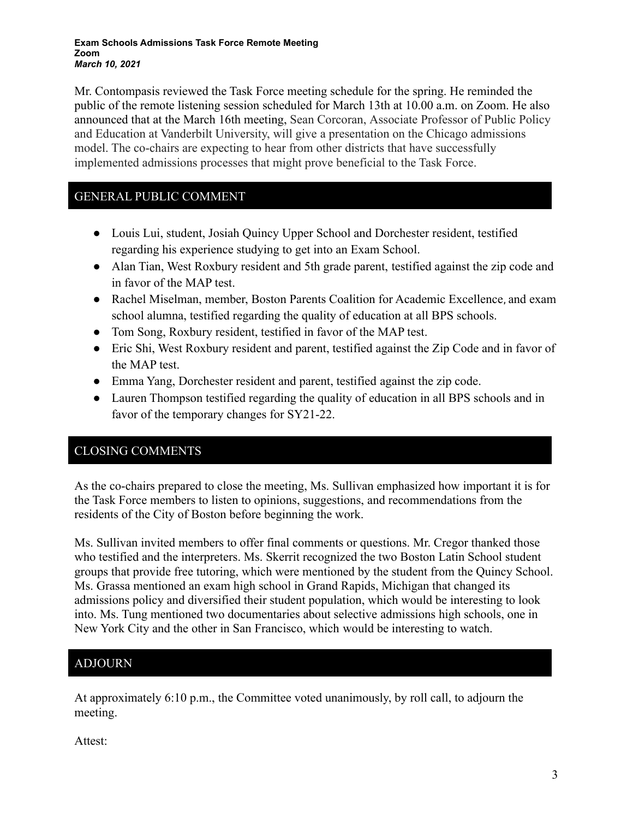#### **Exam Schools Admissions Task Force Remote Meeting Zoom** *March 10, 2021*

Mr. Contompasis reviewed the Task Force meeting schedule for the spring. He reminded the public of the remote listening session scheduled for March 13th at 10.00 a.m. on Zoom. He also announced that at the March 16th meeting, Sean Corcoran, Associate Professor of Public Policy and Education at Vanderbilt University, will give a presentation on the Chicago admissions model. The co-chairs are expecting to hear from other districts that have successfully implemented admissions processes that might prove beneficial to the Task Force.

## GENERAL PUBLIC COMMENT

- Louis Lui, student, Josiah Quincy Upper School and Dorchester resident, testified regarding his experience studying to get into an Exam School.
- Alan Tian, West Roxbury resident and 5th grade parent, testified against the zip code and in favor of the MAP test.
- Rachel Miselman, member, Boston Parents Coalition for Academic Excellence, and exam school alumna, testified regarding the quality of education at all BPS schools.
- Tom Song, Roxbury resident, testified in favor of the MAP test.
- Eric Shi, West Roxbury resident and parent, testified against the Zip Code and in favor of the MAP test.
- Emma Yang, Dorchester resident and parent, testified against the zip code.
- Lauren Thompson testified regarding the quality of education in all BPS schools and in favor of the temporary changes for SY21-22.

## CLOSING COMMENTS

As the co-chairs prepared to close the meeting, Ms. Sullivan emphasized how important it is for the Task Force members to listen to opinions, suggestions, and recommendations from the residents of the City of Boston before beginning the work.

Ms. Sullivan invited members to offer final comments or questions. Mr. Cregor thanked those who testified and the interpreters. Ms. Skerrit recognized the two Boston Latin School student groups that provide free tutoring, which were mentioned by the student from the Quincy School. Ms. Grassa mentioned an exam high school in Grand Rapids, Michigan that changed its admissions policy and diversified their student population, which would be interesting to look into. Ms. Tung mentioned two documentaries about selective admissions high schools, one in New York City and the other in San Francisco, which would be interesting to watch.

## ADJOURN

At approximately 6:10 p.m., the Committee voted unanimously, by roll call, to adjourn the meeting.

Attest: